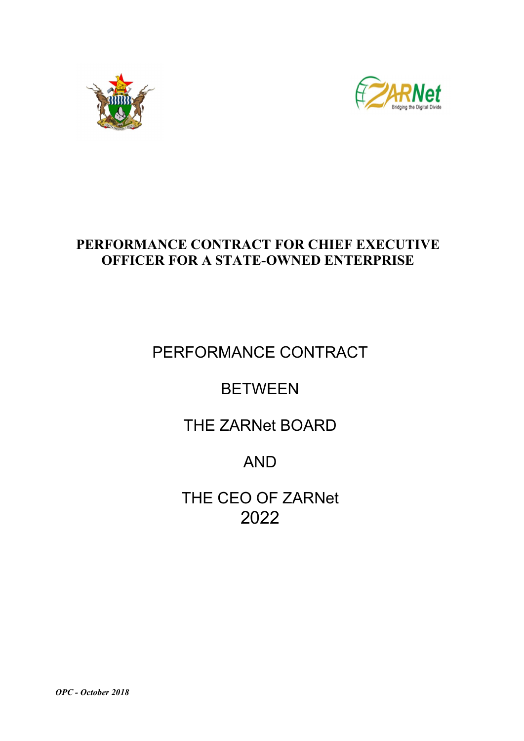



# PERFORMANCE CONTRACT FOR CHIEF EXECUTIVE OFFICER FOR A STATE-OWNED ENTERPRISE

# PERFORMANCE CONTRACT

# BETWEEN

THE ZARNet BOARD

# AND

THE CEO OF ZARNet 2022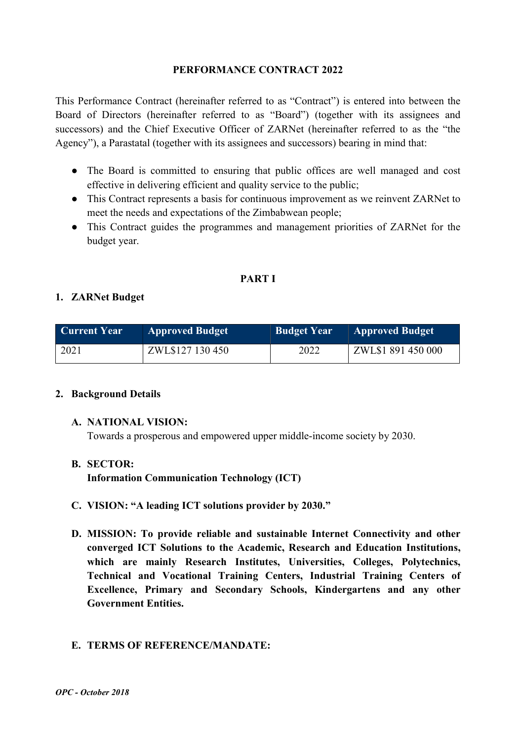#### PERFORMANCE CONTRACT 2022

This Performance Contract (hereinafter referred to as "Contract") is entered into between the Board of Directors (hereinafter referred to as "Board") (together with its assignees and successors) and the Chief Executive Officer of ZARNet (hereinafter referred to as the "the Agency"), a Parastatal (together with its assignees and successors) bearing in mind that:

- The Board is committed to ensuring that public offices are well managed and cost effective in delivering efficient and quality service to the public;
- This Contract represents a basis for continuous improvement as we reinvent ZARNet to meet the needs and expectations of the Zimbabwean people;
- This Contract guides the programmes and management priorities of ZARNet for the budget year.

### PART I

# 1. ZARNet Budget

| <b>Current Year</b> | <b>Approved Budget</b> | <b>Budget Year</b> | <b>Approved Budget</b> |  |  |  |
|---------------------|------------------------|--------------------|------------------------|--|--|--|
| 2021                | ZWL\$127 130 450       | 2022               | ZWL\$1 891 450 000     |  |  |  |

#### 2. Background Details

#### A. NATIONAL VISION:

Towards a prosperous and empowered upper middle-income society by 2030.

#### B. SECTOR:

Information Communication Technology (ICT)

- C. VISION: "A leading ICT solutions provider by 2030."
- D. MISSION: To provide reliable and sustainable Internet Connectivity and other converged ICT Solutions to the Academic, Research and Education Institutions, which are mainly Research Institutes, Universities, Colleges, Polytechnics, Technical and Vocational Training Centers, Industrial Training Centers of Excellence, Primary and Secondary Schools, Kindergartens and any other Government Entities.

### E. TERMS OF REFERENCE/MANDATE: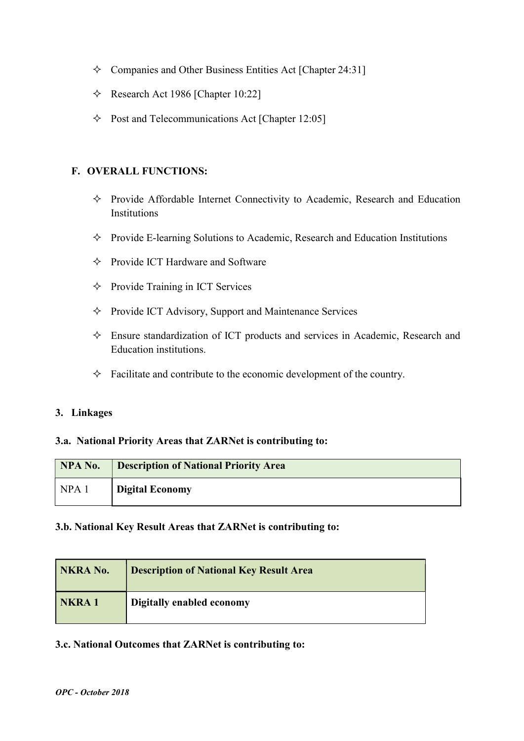- $\Diamond$  Companies and Other Business Entities Act [Chapter 24:31]
- $\triangle$  Research Act 1986 [Chapter 10:22]
- $\Diamond$  Post and Telecommunications Act [Chapter 12:05]

#### F. OVERALL FUNCTIONS:

- $\Diamond$  Provide Affordable Internet Connectivity to Academic, Research and Education **Institutions**
- $\Diamond$  Provide E-learning Solutions to Academic, Research and Education Institutions
- $\Diamond$  Provide ICT Hardware and Software
- $\Diamond$  Provide Training in ICT Services
- $\Diamond$  Provide ICT Advisory, Support and Maintenance Services
- Ensure standardization of ICT products and services in Academic, Research and Education institutions.
- $\Diamond$  Facilitate and contribute to the economic development of the country.

#### 3. Linkages

#### 3.a. National Priority Areas that ZARNet is contributing to:

| NPA No.          | <b>Description of National Priority Area</b> |
|------------------|----------------------------------------------|
| NPA <sub>1</sub> | <b>Digital Economy</b>                       |

#### 3.b. National Key Result Areas that ZARNet is contributing to:

| NKRA No.     | <b>Description of National Key Result Area</b> |
|--------------|------------------------------------------------|
| <b>NKRA1</b> | Digitally enabled economy                      |

#### 3.c. National Outcomes that ZARNet is contributing to: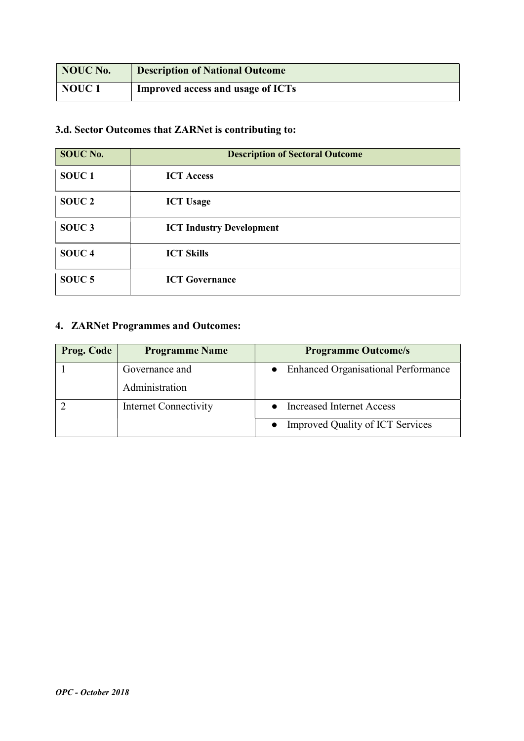| NOUC No.          | <b>Description of National Outcome</b> |
|-------------------|----------------------------------------|
| NOUC <sub>1</sub> | Improved access and usage of ICTs      |

# 3.d. Sector Outcomes that ZARNet is contributing to:

| <b>SOUC No.</b>   | <b>Description of Sectoral Outcome</b> |
|-------------------|----------------------------------------|
| SOUC <sub>1</sub> | <b>ICT Access</b>                      |
| SOUC <sub>2</sub> | <b>ICT Usage</b>                       |
| SOUC <sub>3</sub> | <b>ICT Industry Development</b>        |
| SOUC <sub>4</sub> | <b>ICT Skills</b>                      |
| SOUC <sub>5</sub> | <b>ICT Governance</b>                  |

# 4. ZARNet Programmes and Outcomes:

| <b>Prog. Code</b> | <b>Programme Name</b> | <b>Programme Outcome/s</b>                 |
|-------------------|-----------------------|--------------------------------------------|
|                   | Governance and        | <b>Enhanced Organisational Performance</b> |
|                   | Administration        |                                            |
|                   | Internet Connectivity | <b>Increased Internet Access</b>           |
|                   |                       | <b>Improved Quality of ICT Services</b>    |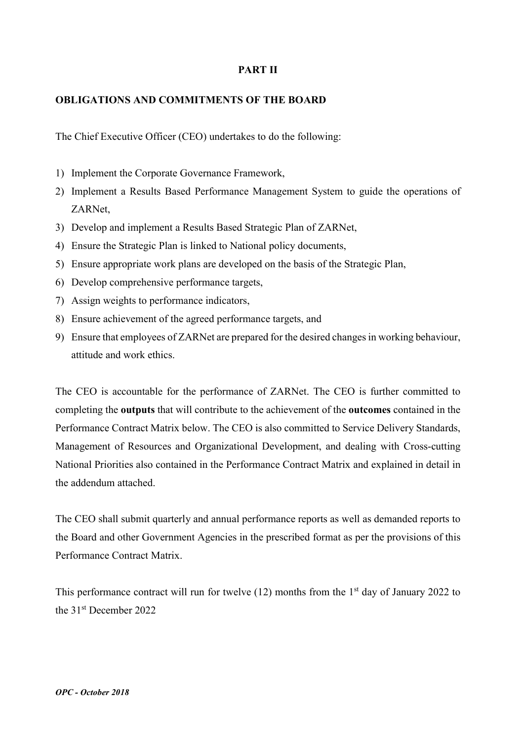#### PART II

#### OBLIGATIONS AND COMMITMENTS OF THE BOARD

The Chief Executive Officer (CEO) undertakes to do the following:

- 1) Implement the Corporate Governance Framework,
- 2) Implement a Results Based Performance Management System to guide the operations of ZARNet,
- 3) Develop and implement a Results Based Strategic Plan of ZARNet,
- 4) Ensure the Strategic Plan is linked to National policy documents,
- 5) Ensure appropriate work plans are developed on the basis of the Strategic Plan,
- 6) Develop comprehensive performance targets,
- 7) Assign weights to performance indicators,
- 8) Ensure achievement of the agreed performance targets, and
- 9) Ensure that employees of ZARNet are prepared for the desired changes in working behaviour, attitude and work ethics.

The CEO is accountable for the performance of ZARNet. The CEO is further committed to completing the outputs that will contribute to the achievement of the outcomes contained in the Performance Contract Matrix below. The CEO is also committed to Service Delivery Standards, Management of Resources and Organizational Development, and dealing with Cross-cutting National Priorities also contained in the Performance Contract Matrix and explained in detail in the addendum attached.

The CEO shall submit quarterly and annual performance reports as well as demanded reports to the Board and other Government Agencies in the prescribed format as per the provisions of this Performance Contract Matrix.

This performance contract will run for twelve  $(12)$  months from the 1<sup>st</sup> day of January 2022 to the 31st December 2022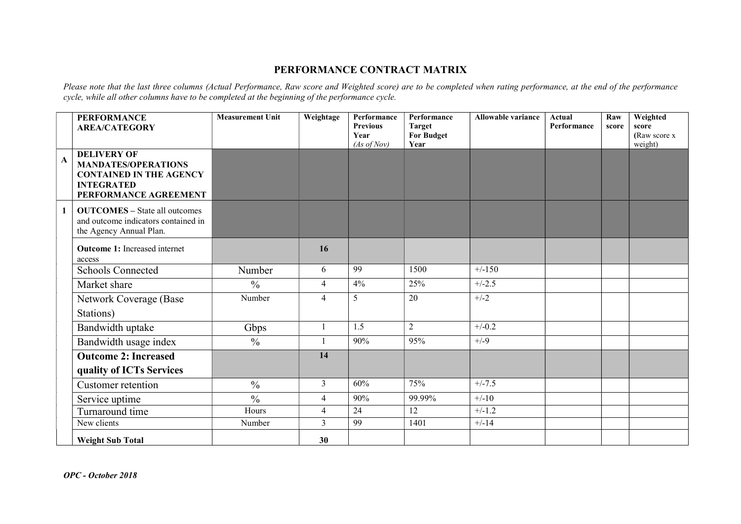#### PERFORMANCE CONTRACT MATRIX

Please note that the last three columns (Actual Performance, Raw score and Weighted score) are to be completed when rating performance, at the end of the performance cycle, while all other columns have to be completed at the beginning of the performance cycle.

|              | <b>PERFORMANCE</b><br><b>AREA/CATEGORY</b>                                                                                       | <b>Measurement Unit</b>  | Weightage      | Performance<br><b>Previous</b><br>Year<br>(As of Nov) | Performance<br><b>Target</b><br><b>For Budget</b><br>Year | <b>Allowable variance</b> | <b>Actual</b><br>Performance | Raw<br>score | Weighted<br>score<br>(Raw score x<br>weight) |
|--------------|----------------------------------------------------------------------------------------------------------------------------------|--------------------------|----------------|-------------------------------------------------------|-----------------------------------------------------------|---------------------------|------------------------------|--------------|----------------------------------------------|
| $\mathbf{A}$ | <b>DELIVERY OF</b><br><b>MANDATES/OPERATIONS</b><br><b>CONTAINED IN THE AGENCY</b><br><b>INTEGRATED</b><br>PERFORMANCE AGREEMENT |                          |                |                                                       |                                                           |                           |                              |              |                                              |
| $\mathbf{1}$ | <b>OUTCOMES</b> - State all outcomes<br>and outcome indicators contained in<br>the Agency Annual Plan.                           |                          |                |                                                       |                                                           |                           |                              |              |                                              |
|              | <b>Outcome 1:</b> Increased internet<br>access                                                                                   |                          | 16             |                                                       |                                                           |                           |                              |              |                                              |
|              | <b>Schools Connected</b>                                                                                                         | Number                   | 6              | 99                                                    | 1500                                                      | $+/-150$                  |                              |              |                                              |
|              | Market share                                                                                                                     | $\frac{0}{0}$            | $\overline{4}$ | 4%                                                    | 25%                                                       | $+/-2.5$                  |                              |              |                                              |
|              | Network Coverage (Base<br>Stations)                                                                                              | Number                   | $\overline{4}$ | 5                                                     | 20                                                        | $+/-2$                    |                              |              |                                              |
|              | Bandwidth uptake                                                                                                                 | Gbps                     |                | 1.5                                                   | $\overline{2}$                                            | $+/-0.2$                  |                              |              |                                              |
|              | Bandwidth usage index                                                                                                            | $\frac{0}{0}$            |                | 90%                                                   | 95%                                                       | $+/-9$                    |                              |              |                                              |
|              | <b>Outcome 2: Increased</b><br>quality of ICTs Services                                                                          |                          | 14             |                                                       |                                                           |                           |                              |              |                                              |
|              | Customer retention                                                                                                               | $\overline{\frac{0}{0}}$ | $\overline{3}$ | 60%                                                   | 75%                                                       | $+/-7.5$                  |                              |              |                                              |
|              | Service uptime                                                                                                                   | $\overline{\frac{0}{6}}$ | $\overline{4}$ | 90%                                                   | 99.99%                                                    | $+/-10$                   |                              |              |                                              |
|              | Turnaround time                                                                                                                  | Hours                    | 4              | 24                                                    | 12                                                        | $+/-1.2$                  |                              |              |                                              |
|              | New clients                                                                                                                      | Number                   | 3              | 99                                                    | 1401                                                      | $+/-14$                   |                              |              |                                              |
|              | <b>Weight Sub Total</b>                                                                                                          |                          | 30             |                                                       |                                                           |                           |                              |              |                                              |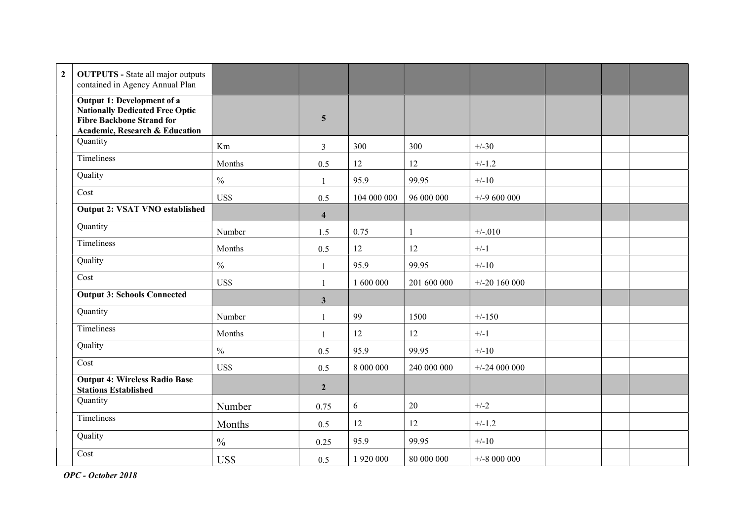| $\overline{2}$ | <b>OUTPUTS</b> - State all major outputs<br>contained in Agency Annual Plan                                                                           |               |                         |             |              |                 |  |  |
|----------------|-------------------------------------------------------------------------------------------------------------------------------------------------------|---------------|-------------------------|-------------|--------------|-----------------|--|--|
|                | Output 1: Development of a<br><b>Nationally Dedicated Free Optic</b><br><b>Fibre Backbone Strand for</b><br><b>Academic, Research &amp; Education</b> |               | $\overline{5}$          |             |              |                 |  |  |
|                | Quantity                                                                                                                                              | Km            | $\mathfrak{Z}$          | 300         | 300          | $+/-30$         |  |  |
|                | Timeliness                                                                                                                                            | Months        | 0.5                     | 12          | 12           | $+/-1.2$        |  |  |
|                | Quality                                                                                                                                               | $\frac{0}{0}$ | $\mathbf{1}$            | 95.9        | 99.95        | $+/-10$         |  |  |
|                | Cost                                                                                                                                                  | US\$          | 0.5                     | 104 000 000 | 96 000 000   | $+/-9$ 600 000  |  |  |
|                | <b>Output 2: VSAT VNO established</b>                                                                                                                 |               | $\overline{\mathbf{4}}$ |             |              |                 |  |  |
|                | Quantity                                                                                                                                              | Number        | 1.5                     | 0.75        | $\mathbf{1}$ | $+/-.010$       |  |  |
|                | Timeliness                                                                                                                                            | Months        | 0.5                     | 12          | 12           | $+/-1$          |  |  |
|                | Quality                                                                                                                                               | $\frac{0}{0}$ | $\mathbf{1}$            | 95.9        | 99.95        | $+/-10$         |  |  |
|                | Cost                                                                                                                                                  | US\$          | $\mathbf{1}$            | 1 600 000   | 201 600 000  | $+/-20$ 160 000 |  |  |
|                | <b>Output 3: Schools Connected</b>                                                                                                                    |               | $\mathbf{3}$            |             |              |                 |  |  |
|                | Quantity                                                                                                                                              | Number        | $\mathbf{1}$            | 99          | 1500         | $+/-150$        |  |  |
|                | Timeliness                                                                                                                                            | Months        | $\mathbf{1}$            | 12          | 12           | $+/-1$          |  |  |
|                | Quality                                                                                                                                               | $\frac{0}{0}$ | 0.5                     | 95.9        | 99.95        | $+/-10$         |  |  |
|                | Cost                                                                                                                                                  | US\$          | 0.5                     | 8 000 000   | 240 000 000  | $+/-24000000$   |  |  |
|                | <b>Output 4: Wireless Radio Base</b><br><b>Stations Established</b>                                                                                   |               | $\overline{2}$          |             |              |                 |  |  |
|                | Quantity                                                                                                                                              | Number        | 0.75                    | 6           | 20           | $+/-2$          |  |  |
|                | Timeliness                                                                                                                                            | Months        | 0.5                     | 12          | 12           | $+/-1.2$        |  |  |
|                | Quality                                                                                                                                               | $\frac{0}{0}$ | 0.25                    | 95.9        | 99.95        | $+/-10$         |  |  |
|                | Cost                                                                                                                                                  | US\$          | 0.5                     | 1 920 000   | 80 000 000   | $+/-8$ 000 000  |  |  |

OPC - October 2018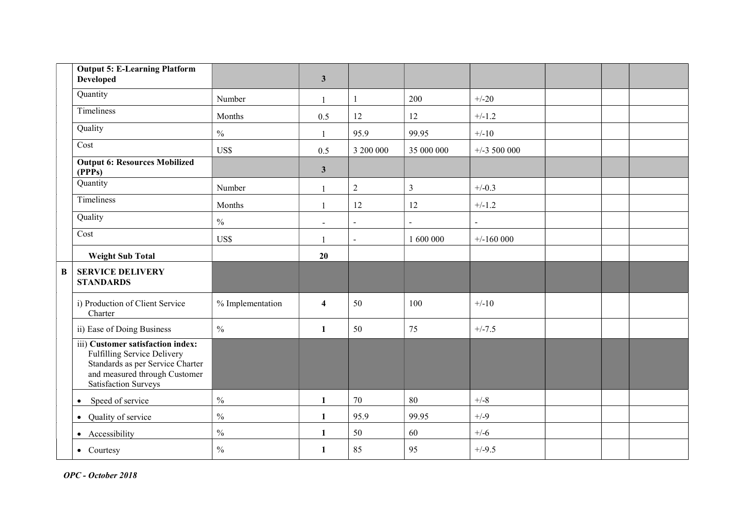|          | <b>Output 5: E-Learning Platform</b><br><b>Developed</b>                                                                                                             |                  | $\mathbf{3}$             |                |                |                |  |  |
|----------|----------------------------------------------------------------------------------------------------------------------------------------------------------------------|------------------|--------------------------|----------------|----------------|----------------|--|--|
|          | Quantity                                                                                                                                                             | Number           | $\mathbf{1}$             |                | 200            | $+/-20$        |  |  |
|          | Timeliness                                                                                                                                                           | Months           | 0.5                      | 12             | 12             | $+/-1.2$       |  |  |
|          | Quality                                                                                                                                                              | $\frac{0}{0}$    | $\mathbf{1}$             | 95.9           | 99.95          | $+/-10$        |  |  |
|          | Cost                                                                                                                                                                 | US\$             | 0.5                      | 3 200 000      | 35 000 000     | $+/-3$ 500 000 |  |  |
|          | <b>Output 6: Resources Mobilized</b><br>(PPPs)                                                                                                                       |                  | $\mathbf{3}$             |                |                |                |  |  |
|          | Quantity                                                                                                                                                             | Number           | $\mathbf{1}$             | $\overline{2}$ | $\overline{3}$ | $+/-0.3$       |  |  |
|          | Timeliness                                                                                                                                                           | Months           | $\mathbf{1}$             | 12             | 12             | $+/-1.2$       |  |  |
|          | Quality                                                                                                                                                              | $\frac{0}{0}$    | $\overline{\phantom{a}}$ | $\blacksquare$ | $\sim$         | $\blacksquare$ |  |  |
|          | Cost                                                                                                                                                                 | US\$             | $\mathbf{1}$             | $\blacksquare$ | 1 600 000      | $+/-160000$    |  |  |
|          | <b>Weight Sub Total</b>                                                                                                                                              |                  | 20                       |                |                |                |  |  |
| $\bf{B}$ | <b>SERVICE DELIVERY</b><br><b>STANDARDS</b>                                                                                                                          |                  |                          |                |                |                |  |  |
|          | i) Production of Client Service<br>Charter                                                                                                                           | % Implementation | $\overline{\mathbf{4}}$  | 50             | 100            | $+/-10$        |  |  |
|          | ii) Ease of Doing Business                                                                                                                                           | $\frac{0}{0}$    | $\mathbf{1}$             | 50             | 75             | $+/-7.5$       |  |  |
|          | iii) Customer satisfaction index:<br>Fulfilling Service Delivery<br>Standards as per Service Charter<br>and measured through Customer<br><b>Satisfaction Surveys</b> |                  |                          |                |                |                |  |  |
|          | Speed of service<br>$\bullet$                                                                                                                                        | $\frac{0}{0}$    | 1                        | 70             | 80             | $+/-8$         |  |  |
|          | • Quality of service                                                                                                                                                 | $\frac{0}{0}$    | 1                        | 95.9           | 99.95          | $+/-9$         |  |  |
|          | • Accessibility                                                                                                                                                      | $\frac{0}{0}$    | 1                        | 50             | 60             | $+/-6$         |  |  |
|          | • Courtesy                                                                                                                                                           | $\frac{0}{0}$    | 1                        | 85             | 95             | $+/-9.5$       |  |  |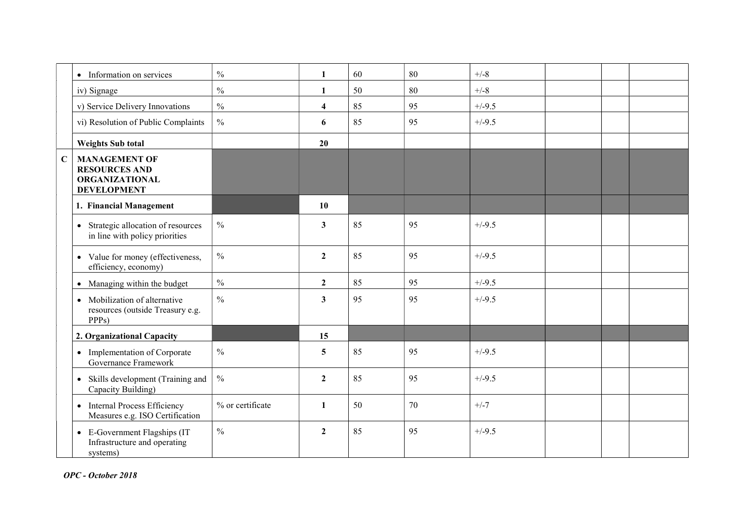|             | • Information on services                                                                          | $\frac{0}{0}$    | $\mathbf{1}$            | 60 | 80 | $+/-8$   |  |  |
|-------------|----------------------------------------------------------------------------------------------------|------------------|-------------------------|----|----|----------|--|--|
|             | iv) Signage                                                                                        | $\frac{0}{0}$    | $\mathbf{1}$            | 50 | 80 | $+/-8$   |  |  |
|             | v) Service Delivery Innovations                                                                    | $\frac{0}{0}$    | $\overline{\mathbf{4}}$ | 85 | 95 | $+/-9.5$ |  |  |
|             | vi) Resolution of Public Complaints                                                                | $\frac{0}{0}$    | 6                       | 85 | 95 | $+/-9.5$ |  |  |
|             | <b>Weights Sub total</b>                                                                           |                  | 20                      |    |    |          |  |  |
| $\mathbf C$ | <b>MANAGEMENT OF</b><br><b>RESOURCES AND</b><br><b>ORGANIZATIONAL</b><br><b>DEVELOPMENT</b>        |                  |                         |    |    |          |  |  |
|             | 1. Financial Management                                                                            |                  | 10                      |    |    |          |  |  |
|             | Strategic allocation of resources<br>$\bullet$<br>in line with policy priorities                   | $\frac{0}{0}$    | $\mathbf{3}$            | 85 | 95 | $+/-9.5$ |  |  |
|             | • Value for money (effectiveness,<br>efficiency, economy)                                          | $\frac{0}{0}$    | $\overline{2}$          | 85 | 95 | $+/-9.5$ |  |  |
|             | • Managing within the budget                                                                       | $\frac{0}{0}$    | $\overline{2}$          | 85 | 95 | $+/-9.5$ |  |  |
|             | Mobilization of alternative<br>$\bullet$<br>resources (outside Treasury e.g.<br>PPP <sub>s</sub> ) | $\frac{0}{0}$    | $\overline{\mathbf{3}}$ | 95 | 95 | $+/-9.5$ |  |  |
|             | 2. Organizational Capacity                                                                         |                  | 15                      |    |    |          |  |  |
|             | • Implementation of Corporate<br>Governance Framework                                              | $\frac{0}{0}$    | 5                       | 85 | 95 | $+/-9.5$ |  |  |
|             | Skills development (Training and<br>$\bullet$<br>Capacity Building)                                | $\frac{0}{0}$    | $\overline{2}$          | 85 | 95 | $+/-9.5$ |  |  |
|             | <b>Internal Process Efficiency</b><br>$\bullet$<br>Measures e.g. ISO Certification                 | % or certificate | $\mathbf{1}$            | 50 | 70 | $+/-7$   |  |  |
|             | • E-Government Flagships (IT<br>Infrastructure and operating<br>systems)                           | $\frac{0}{0}$    | $\overline{2}$          | 85 | 95 | $+/-9.5$ |  |  |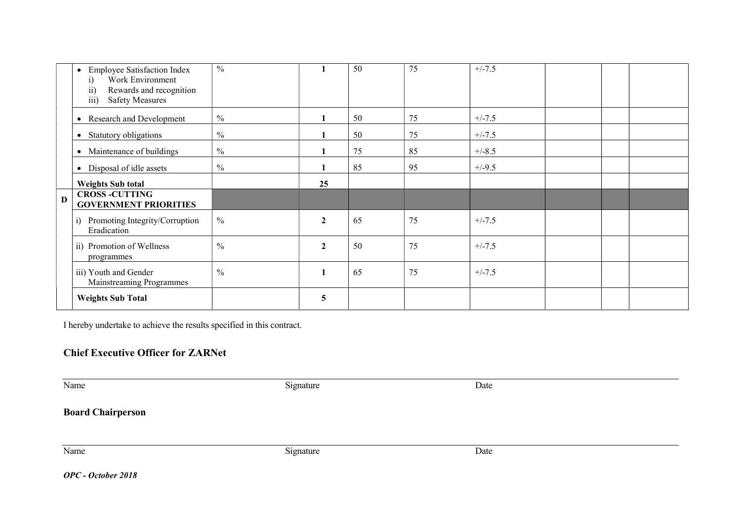|              | <b>Employee Satisfaction Index</b><br>$\bullet$<br>Work Environment<br>1)<br>Rewards and recognition<br>$\overline{ii}$<br>$\overline{\text{iii}}$<br><b>Safety Measures</b> | $\frac{0}{0}$ |                  | 50 | 75 | $+/-7.5$ |  |  |
|--------------|------------------------------------------------------------------------------------------------------------------------------------------------------------------------------|---------------|------------------|----|----|----------|--|--|
|              | Research and Development                                                                                                                                                     | $\frac{0}{0}$ |                  | 50 | 75 | $+/-7.5$ |  |  |
|              | Statutory obligations                                                                                                                                                        | $\frac{0}{0}$ |                  | 50 | 75 | $+/-7.5$ |  |  |
|              | Maintenance of buildings                                                                                                                                                     | $\frac{0}{0}$ |                  | 75 | 85 | $+/-8.5$ |  |  |
|              | Disposal of idle assets<br>$\bullet$                                                                                                                                         | $\frac{0}{0}$ |                  | 85 | 95 | $+/-9.5$ |  |  |
|              | <b>Weights Sub total</b>                                                                                                                                                     |               | 25               |    |    |          |  |  |
| $\mathbf{D}$ | <b>CROSS -CUTTING</b><br><b>GOVERNMENT PRIORITIES</b>                                                                                                                        |               |                  |    |    |          |  |  |
|              | Promoting Integrity/Corruption<br>1)<br>Eradication                                                                                                                          | $\frac{0}{0}$ | $\boldsymbol{2}$ | 65 | 75 | $+/-7.5$ |  |  |
|              | ii) Promotion of Wellness<br>programmes                                                                                                                                      | $\frac{0}{0}$ | $\boldsymbol{2}$ | 50 | 75 | $+/-7.5$ |  |  |
|              | iii) Youth and Gender<br>Mainstreaming Programmes                                                                                                                            | $\frac{0}{0}$ | $\mathbf{1}$     | 65 | 75 | $+/-7.5$ |  |  |
|              | <b>Weights Sub Total</b>                                                                                                                                                     |               | 5                |    |    |          |  |  |

I hereby undertake to achieve the results specified in this contract.

#### Chief Executive Officer for ZARNet

Name Date Development and Signature Date Date Date Date

Board Chairperson

Name Date Date Signature Date

OPC - October 2018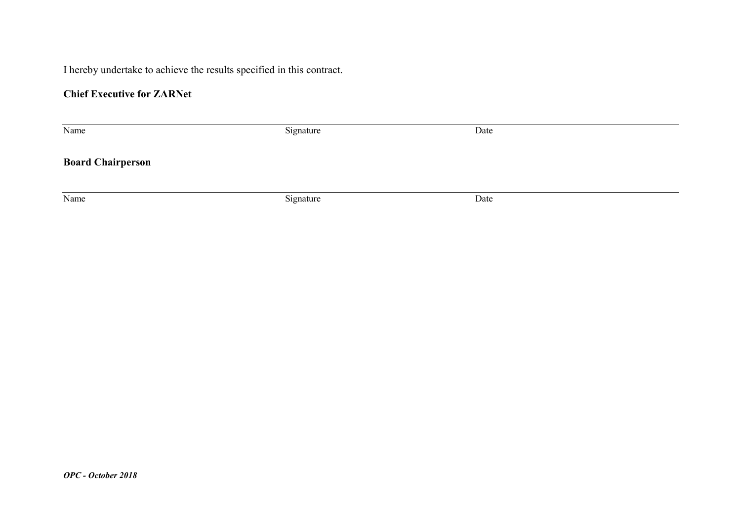I hereby undertake to achieve the results specified in this contract.

# Chief Executive for ZARNet

| Name                     | Signature | Date |
|--------------------------|-----------|------|
| <b>Board Chairperson</b> |           |      |
|                          |           |      |
| Name                     | Signature | Date |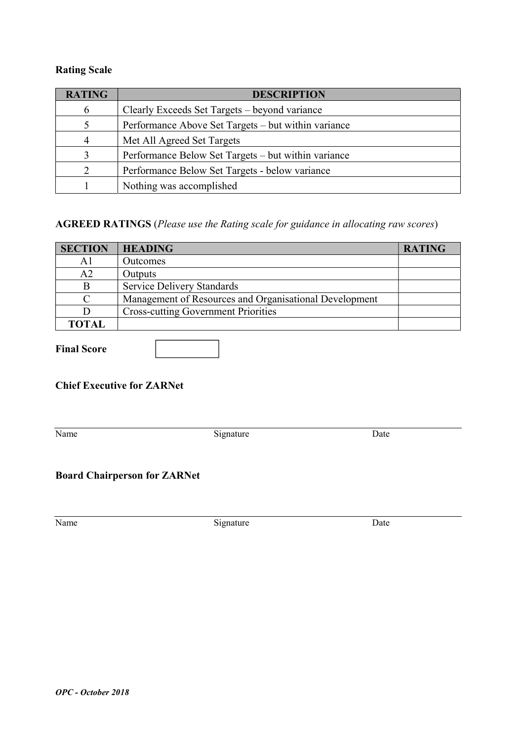## Rating Scale

| <b>RATING</b> | <b>DESCRIPTION</b>                                  |
|---------------|-----------------------------------------------------|
| 6             | Clearly Exceeds Set Targets – beyond variance       |
|               | Performance Above Set Targets – but within variance |
| 4             | Met All Agreed Set Targets                          |
| $\mathbf{R}$  | Performance Below Set Targets – but within variance |
|               | Performance Below Set Targets - below variance      |
|               | Nothing was accomplished                            |

# AGREED RATINGS (Please use the Rating scale for guidance in allocating raw scores)

| <b>SECTION</b> | <b>HEADING</b>                                         | <b>RATING</b> |
|----------------|--------------------------------------------------------|---------------|
|                | <b>Outcomes</b>                                        |               |
| A2             | Outputs                                                |               |
| B              | <b>Service Delivery Standards</b>                      |               |
|                | Management of Resources and Organisational Development |               |
|                | <b>Cross-cutting Government Priorities</b>             |               |
| <b>TOTAL</b>   |                                                        |               |

#### Final Score

### Chief Executive for ZARNet

Name Signature Date

# Board Chairperson for ZARNet

Name Signature Date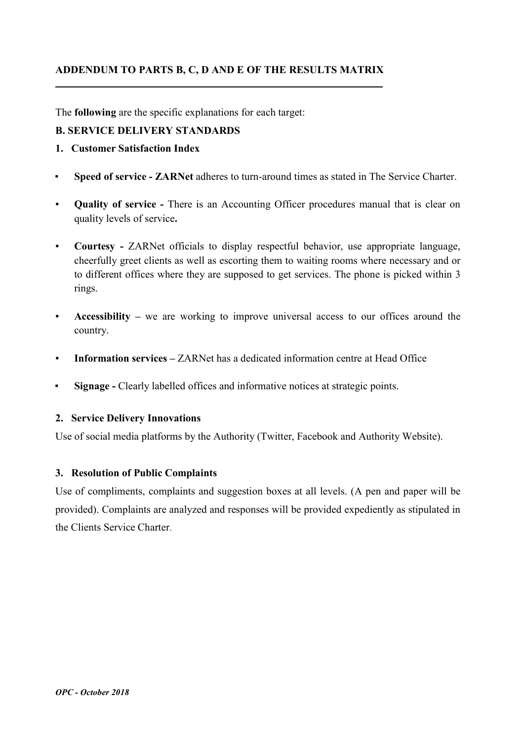#### ADDENDUM TO PARTS B, C, D AND E OF THE RESULTS MATRIX \_\_

The following are the specific explanations for each target:

#### B. SERVICE DELIVERY STANDARDS

- 1. Customer Satisfaction Index
- Speed of service ZARNet adheres to turn-around times as stated in The Service Charter.
- Quality of service There is an Accounting Officer procedures manual that is clear on quality levels of service.
- Courtesy ZARNet officials to display respectful behavior, use appropriate language, cheerfully greet clients as well as escorting them to waiting rooms where necessary and or to different offices where they are supposed to get services. The phone is picked within 3 rings.
- Accessibility we are working to improve universal access to our offices around the country.
- **Information services**  $ZARNet$  has a dedicated information centre at Head Office
- **Example 2** Signage Clearly labelled offices and informative notices at strategic points.

#### 2. Service Delivery Innovations

Use of social media platforms by the Authority (Twitter, Facebook and Authority Website).

#### 3. Resolution of Public Complaints

Use of compliments, complaints and suggestion boxes at all levels. (A pen and paper will be provided). Complaints are analyzed and responses will be provided expediently as stipulated in the Clients Service Charter.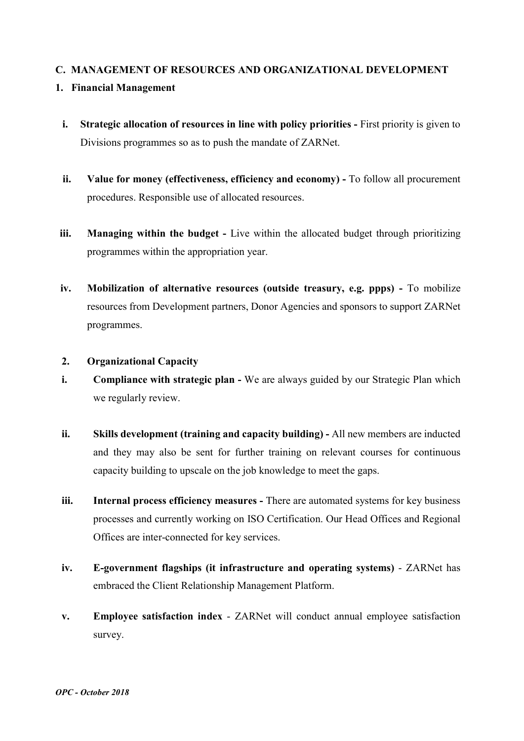#### C. MANAGEMENT OF RESOURCES AND ORGANIZATIONAL DEVELOPMENT

#### 1. Financial Management

- i. Strategic allocation of resources in line with policy priorities First priority is given to Divisions programmes so as to push the mandate of ZARNet.
- ii. Value for money (effectiveness, efficiency and economy) To follow all procurement procedures. Responsible use of allocated resources.
- iii. Managing within the budget Live within the allocated budget through prioritizing programmes within the appropriation year.
- iv. Mobilization of alternative resources (outside treasury, e.g. ppps) To mobilize resources from Development partners, Donor Agencies and sponsors to support ZARNet programmes.
- 2. Organizational Capacity
- i. Compliance with strategic plan We are always guided by our Strategic Plan which we regularly review.
- ii. Skills development (training and capacity building) All new members are inducted and they may also be sent for further training on relevant courses for continuous capacity building to upscale on the job knowledge to meet the gaps.
- iii. Internal process efficiency measures There are automated systems for key business processes and currently working on ISO Certification. Our Head Offices and Regional Offices are inter-connected for key services.
- iv. E-government flagships (it infrastructure and operating systems) ZARNet has embraced the Client Relationship Management Platform.
- v. Employee satisfaction index ZARNet will conduct annual employee satisfaction survey.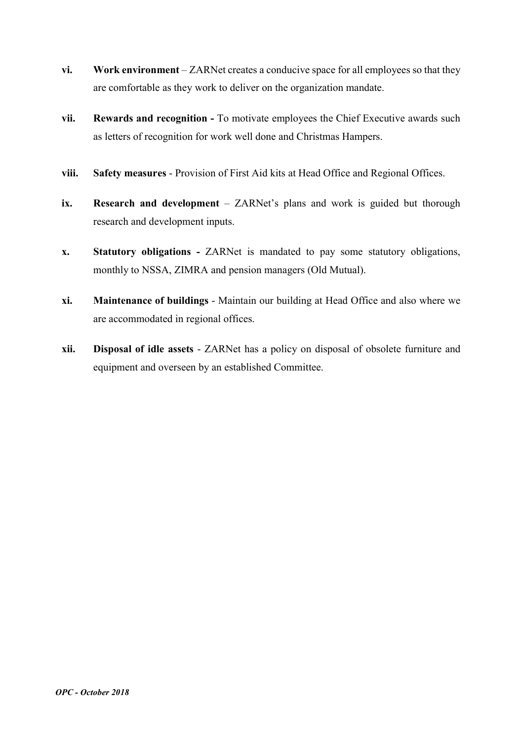- vi. Work environment ZARNet creates a conducive space for all employees so that they are comfortable as they work to deliver on the organization mandate.
- vii. Rewards and recognition To motivate employees the Chief Executive awards such as letters of recognition for work well done and Christmas Hampers.
- viii. Safety measures Provision of First Aid kits at Head Office and Regional Offices.
- ix. Research and development ZARNet's plans and work is guided but thorough research and development inputs.
- x. Statutory obligations ZARNet is mandated to pay some statutory obligations, monthly to NSSA, ZIMRA and pension managers (Old Mutual).
- xi. Maintenance of buildings Maintain our building at Head Office and also where we are accommodated in regional offices.
- xii. Disposal of idle assets ZARNet has a policy on disposal of obsolete furniture and equipment and overseen by an established Committee.